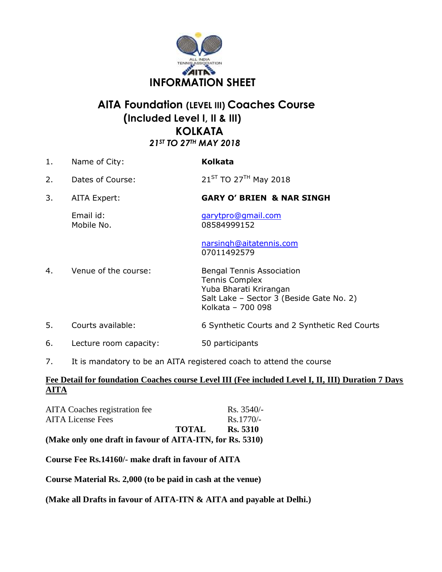

# **AITA Foundation (LEVEL III) Coaches Course (Included Level I, II & III) KOLKATA** *21ST TO 27TH MAY 2018*

| 1. | Name of City:           | <b>Kolkata</b>                                                                                                                                       |
|----|-------------------------|------------------------------------------------------------------------------------------------------------------------------------------------------|
| 2. | Dates of Course:        | $21^{ST}$ TO 27 <sup>TH</sup> May 2018                                                                                                               |
| 3. | AITA Expert:            | <b>GARY O' BRIEN &amp; NAR SINGH</b>                                                                                                                 |
|    | Email id:<br>Mobile No. | garytpro@gmail.com<br>08584999152                                                                                                                    |
|    |                         | narsingh@aitatennis.com<br>07011492579                                                                                                               |
| 4. | Venue of the course:    | <b>Bengal Tennis Association</b><br><b>Tennis Complex</b><br>Yuba Bharati Krirangan<br>Salt Lake - Sector 3 (Beside Gate No. 2)<br>Kolkata - 700 098 |
| 5. | Courts available:       | 6 Synthetic Courts and 2 Synthetic Red Courts                                                                                                        |
| 6. | Lecture room capacity:  | 50 participants                                                                                                                                      |
|    |                         |                                                                                                                                                      |

7. It is mandatory to be an AITA registered coach to attend the course

### **Fee Detail for foundation Coaches course Level III (Fee included Level I, II, III) Duration 7 Days AITA**

| (Make only one draft in favour of AITA-ITN, for Rs. 5310) |
|-----------------------------------------------------------|
| Rs. 5310                                                  |
| $Rs.1770/-$                                               |
| $Rs. 3540/-$                                              |
|                                                           |

**Course Fee Rs.14160/- make draft in favour of AITA** 

**Course Material Rs. 2,000 (to be paid in cash at the venue)** 

**(Make all Drafts in favour of AITA-ITN & AITA and payable at Delhi.)**